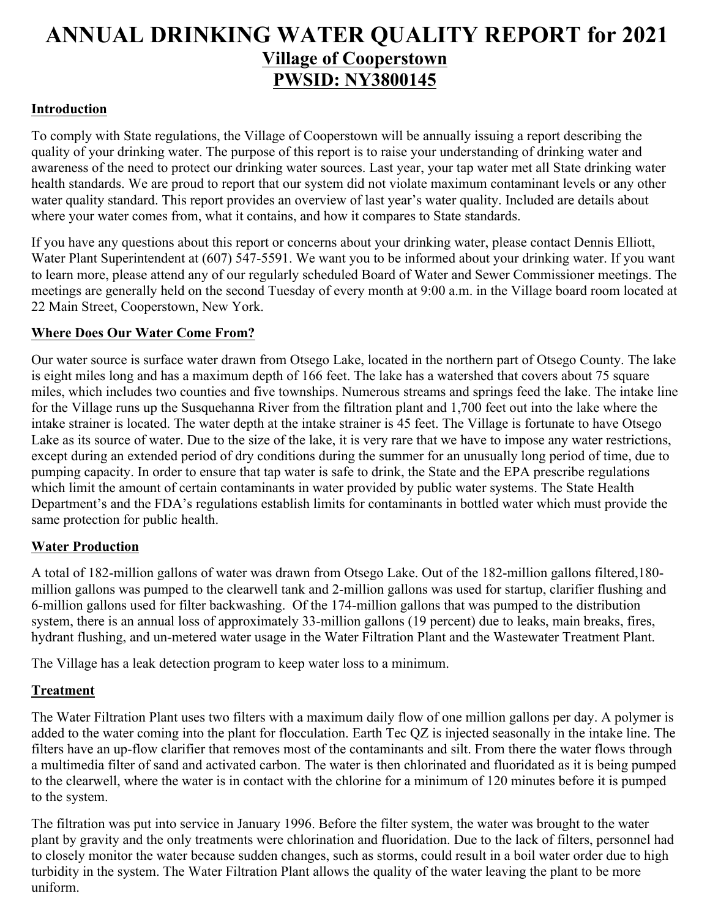# **ANNUAL DRINKING WATER QUALITY REPORT for 2021 Village of Cooperstown PWSID: NY3800145**

#### **Introduction**

To comply with State regulations, the Village of Cooperstown will be annually issuing a report describing the quality of your drinking water. The purpose of this report is to raise your understanding of drinking water and awareness of the need to protect our drinking water sources. Last year, your tap water met all State drinking water health standards. We are proud to report that our system did not violate maximum contaminant levels or any other water quality standard. This report provides an overview of last year's water quality. Included are details about where your water comes from, what it contains, and how it compares to State standards.

If you have any questions about this report or concerns about your drinking water, please contact Dennis Elliott, Water Plant Superintendent at (607) 547-5591. We want you to be informed about your drinking water. If you want to learn more, please attend any of our regularly scheduled Board of Water and Sewer Commissioner meetings. The meetings are generally held on the second Tuesday of every month at 9:00 a.m. in the Village board room located at 22 Main Street, Cooperstown, New York.

#### **Where Does Our Water Come From?**

Our water source is surface water drawn from Otsego Lake, located in the northern part of Otsego County. The lake is eight miles long and has a maximum depth of 166 feet. The lake has a watershed that covers about 75 square miles, which includes two counties and five townships. Numerous streams and springs feed the lake. The intake line for the Village runs up the Susquehanna River from the filtration plant and 1,700 feet out into the lake where the intake strainer is located. The water depth at the intake strainer is 45 feet. The Village is fortunate to have Otsego Lake as its source of water. Due to the size of the lake, it is very rare that we have to impose any water restrictions, except during an extended period of dry conditions during the summer for an unusually long period of time, due to pumping capacity. In order to ensure that tap water is safe to drink, the State and the EPA prescribe regulations which limit the amount of certain contaminants in water provided by public water systems. The State Health Department's and the FDA's regulations establish limits for contaminants in bottled water which must provide the same protection for public health.

### **Water Production**

A total of 182-million gallons of water was drawn from Otsego Lake. Out of the 182-million gallons filtered,180 million gallons was pumped to the clearwell tank and 2-million gallons was used for startup, clarifier flushing and 6-million gallons used for filter backwashing. Of the 174-million gallons that was pumped to the distribution system, there is an annual loss of approximately 33-million gallons (19 percent) due to leaks, main breaks, fires, hydrant flushing, and un-metered water usage in the Water Filtration Plant and the Wastewater Treatment Plant.

The Village has a leak detection program to keep water loss to a minimum.

#### **Treatment**

The Water Filtration Plant uses two filters with a maximum daily flow of one million gallons per day. A polymer is added to the water coming into the plant for flocculation. Earth Tec QZ is injected seasonally in the intake line. The filters have an up-flow clarifier that removes most of the contaminants and silt. From there the water flows through a multimedia filter of sand and activated carbon. The water is then chlorinated and fluoridated as it is being pumped to the clearwell, where the water is in contact with the chlorine for a minimum of 120 minutes before it is pumped to the system.

The filtration was put into service in January 1996. Before the filter system, the water was brought to the water plant by gravity and the only treatments were chlorination and fluoridation. Due to the lack of filters, personnel had to closely monitor the water because sudden changes, such as storms, could result in a boil water order due to high turbidity in the system. The Water Filtration Plant allows the quality of the water leaving the plant to be more uniform.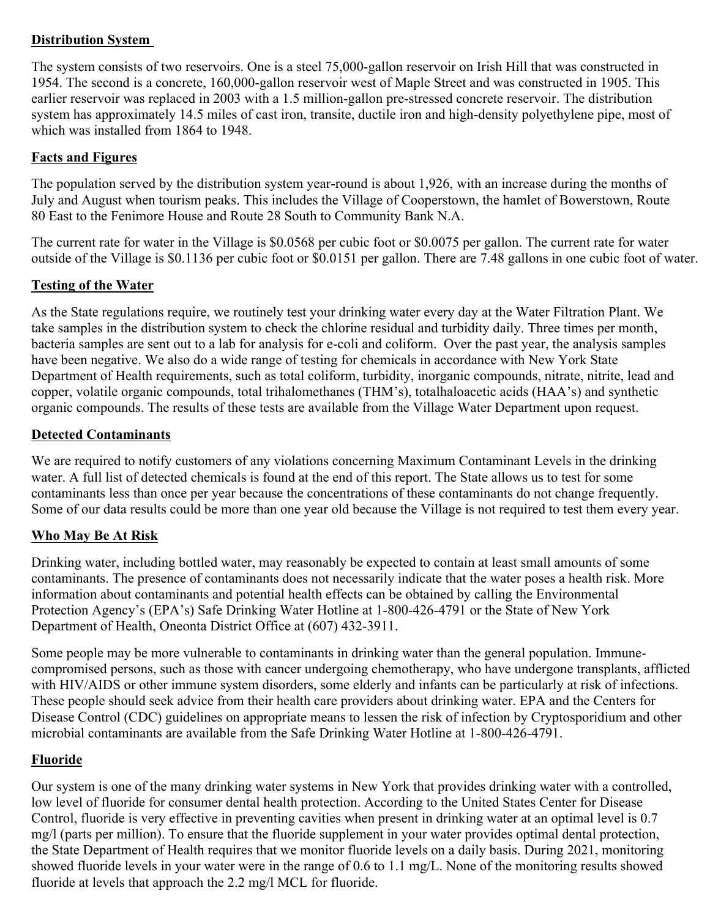#### **Distribution System**

The system consists of two reservoirs. One is a steel 75,000-gallon reservoir on Irish Hill that was constructed in 1954. The second is a concrete, 160,000-gallon reservoir west of Maple Street and was constructed in 1905. This earlier reservoir was replaced in 2003 with a 1.5 million-gallon pre-stressed concrete reservoir. The distribution system has approximately 14.5 miles of cast iron, transite, ductile iron and high-density polyethylene pipe, most of which was installed from 1864 to 1948.

# **Facts and Figures**

The population served by the distribution system year-round is about 1,926, with an increase during the months of July and August when tourism peaks. This includes the Village of Cooperstown, the hamlet of Bowerstown, Route 80 East to the Fenimore House and Route 28 South to Community Bank N.A.

The current rate for water in the Village is \$0.0568 per cubic foot or \$0.0075 per gallon. The current rate for water outside of the Village is \$0.1136 per cubic foot or \$0.0151 per gallon. There are 7.48 gallons in one cubic foot of water.

# **Testing of the Water**

As the State regulations require, we routinely test your drinking water every day at the Water Filtration Plant. We take samples in the distribution system to check the chlorine residual and turbidity daily. Three times per month, bacteria samples are sent out to a lab for analysis for e-coli and coliform. Over the past year, the analysis samples have been negative. We also do a wide range of testing for chemicals in accordance with New York State Department of Health requirements, such as total coliform, turbidity, inorganic compounds, nitrate, nitrite, lead and copper, volatile organic compounds, total trihalomethanes (THM's), totalhaloacetic acids (HAA's) and synthetic organic compounds. The results of these tests are available from the Village Water Department upon request.

# **Detected Contaminants**

We are required to notify customers of any violations concerning Maximum Contaminant Levels in the drinking water. A full list of detected chemicals is found at the end of this report. The State allows us to test for some contaminants less than once per year because the concentrations of these contaminants do not change frequently. Some of our data results could be more than one year old because the Village is not required to test them every year.

# **Who May Be At Risk**

Drinking water, including bottled water, may reasonably be expected to contain at least small amounts of some contaminants. The presence of contaminants does not necessarily indicate that the water poses a health risk. More information about contaminants and potential health effects can be obtained by calling the Environmental Protection Agency's (EPA's) Safe Drinking Water Hotline at 1-800-426-4791 or the State of New York Department of Health, Oneonta District Office at (607) 432-3911.

Some people may be more vulnerable to contaminants in drinking water than the general population. Immunecompromised persons, such as those with cancer undergoing chemotherapy, who have undergone transplants, afflicted with HIV/AIDS or other immune system disorders, some elderly and infants can be particularly at risk of infections. These people should seek advice from their health care providers about drinking water. EPA and the Centers for Disease Control (CDC) guidelines on appropriate means to lessen the risk of infection by Cryptosporidium and other microbial contaminants are available from the Safe Drinking Water Hotline at 1-800-426-4791.

# **Fluoride**

Our system is one of the many drinking water systems in New York that provides drinking water with a controlled, low level of fluoride for consumer dental health protection. According to the United States Center for Disease Control, fluoride is very effective in preventing cavities when present in drinking water at an optimal level is 0.7 mg/l (parts per million). To ensure that the fluoride supplement in your water provides optimal dental protection, the State Department of Health requires that we monitor fluoride levels on a daily basis. During 2021, monitoring showed fluoride levels in your water were in the range of 0.6 to 1.1 mg/L. None of the monitoring results showed fluoride at levels that approach the 2.2 mg/l MCL for fluoride.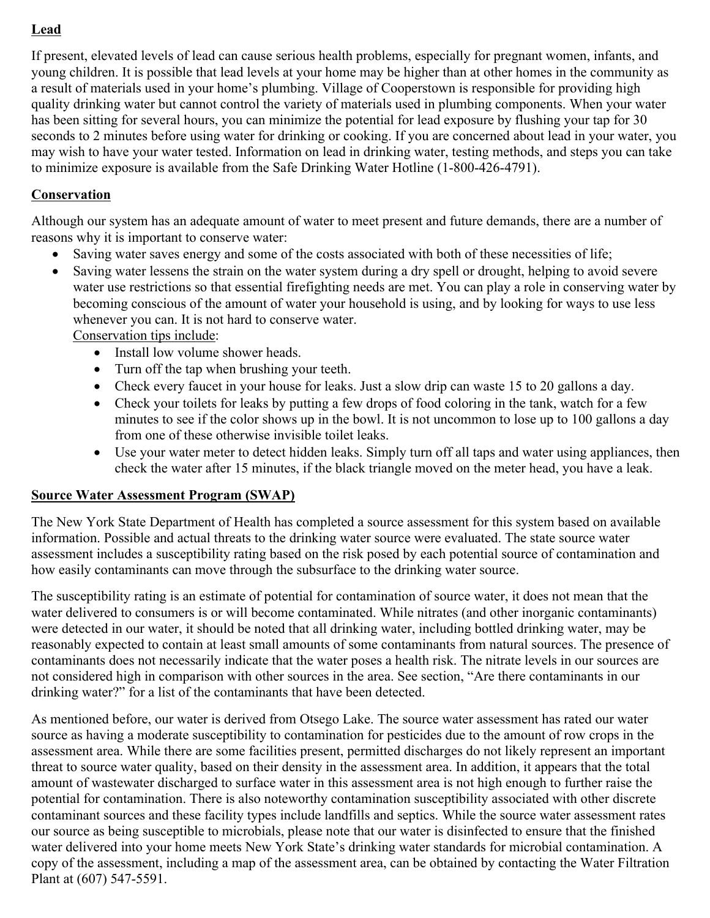# **Lead**

If present, elevated levels of lead can cause serious health problems, especially for pregnant women, infants, and young children. It is possible that lead levels at your home may be higher than at other homes in the community as a result of materials used in your home's plumbing. Village of Cooperstown is responsible for providing high quality drinking water but cannot control the variety of materials used in plumbing components. When your water has been sitting for several hours, you can minimize the potential for lead exposure by flushing your tap for 30 seconds to 2 minutes before using water for drinking or cooking. If you are concerned about lead in your water, you may wish to have your water tested. Information on lead in drinking water, testing methods, and steps you can take to minimize exposure is available from the Safe Drinking Water Hotline (1-800-426-4791).

# **Conservation**

Although our system has an adequate amount of water to meet present and future demands, there are a number of reasons why it is important to conserve water:

- Saving water saves energy and some of the costs associated with both of these necessities of life;
- Saving water lessens the strain on the water system during a dry spell or drought, helping to avoid severe water use restrictions so that essential firefighting needs are met. You can play a role in conserving water by becoming conscious of the amount of water your household is using, and by looking for ways to use less whenever you can. It is not hard to conserve water.

Conservation tips include:

- Install low volume shower heads.
- Turn off the tap when brushing your teeth.
- Check every faucet in your house for leaks. Just a slow drip can waste 15 to 20 gallons a day.
- Check your toilets for leaks by putting a few drops of food coloring in the tank, watch for a few minutes to see if the color shows up in the bowl. It is not uncommon to lose up to 100 gallons a day from one of these otherwise invisible toilet leaks.
- Use your water meter to detect hidden leaks. Simply turn off all taps and water using appliances, then check the water after 15 minutes, if the black triangle moved on the meter head, you have a leak.

### **Source Water Assessment Program (SWAP)**

The New York State Department of Health has completed a source assessment for this system based on available information. Possible and actual threats to the drinking water source were evaluated. The state source water assessment includes a susceptibility rating based on the risk posed by each potential source of contamination and how easily contaminants can move through the subsurface to the drinking water source.

The susceptibility rating is an estimate of potential for contamination of source water, it does not mean that the water delivered to consumers is or will become contaminated. While nitrates (and other inorganic contaminants) were detected in our water, it should be noted that all drinking water, including bottled drinking water, may be reasonably expected to contain at least small amounts of some contaminants from natural sources. The presence of contaminants does not necessarily indicate that the water poses a health risk. The nitrate levels in our sources are not considered high in comparison with other sources in the area. See section, "Are there contaminants in our drinking water?" for a list of the contaminants that have been detected.

As mentioned before, our water is derived from Otsego Lake. The source water assessment has rated our water source as having a moderate susceptibility to contamination for pesticides due to the amount of row crops in the assessment area. While there are some facilities present, permitted discharges do not likely represent an important threat to source water quality, based on their density in the assessment area. In addition, it appears that the total amount of wastewater discharged to surface water in this assessment area is not high enough to further raise the potential for contamination. There is also noteworthy contamination susceptibility associated with other discrete contaminant sources and these facility types include landfills and septics. While the source water assessment rates our source as being susceptible to microbials, please note that our water is disinfected to ensure that the finished water delivered into your home meets New York State's drinking water standards for microbial contamination. A copy of the assessment, including a map of the assessment area, can be obtained by contacting the Water Filtration Plant at (607) 547-5591.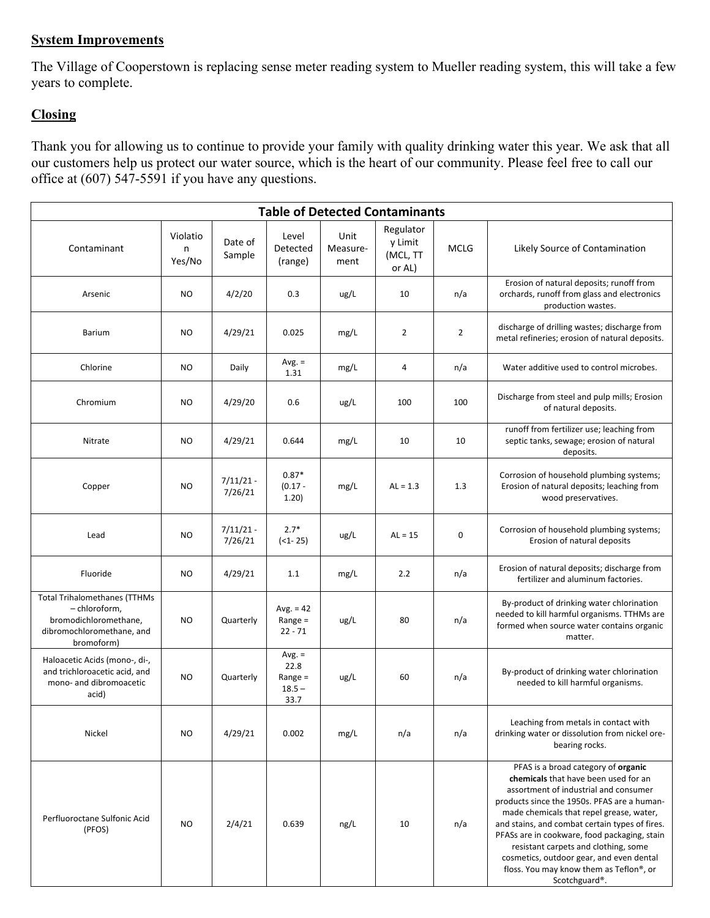# **System Improvements**

The Village of Cooperstown is replacing sense meter reading system to Mueller reading system, this will take a few years to complete.

### **Closing**

Thank you for allowing us to continue to provide your family with quality drinking water this year. We ask that all our customers help us protect our water source, which is the heart of our community. Please feel free to call our office at (607) 547-5591 if you have any questions.

| <b>Table of Detected Contaminants</b>                                                                                    |                         |                        |                                                   |                          |                                            |                  |                                                                                                                                                                                                                                                                                                                                                                                                                                                                   |  |  |  |
|--------------------------------------------------------------------------------------------------------------------------|-------------------------|------------------------|---------------------------------------------------|--------------------------|--------------------------------------------|------------------|-------------------------------------------------------------------------------------------------------------------------------------------------------------------------------------------------------------------------------------------------------------------------------------------------------------------------------------------------------------------------------------------------------------------------------------------------------------------|--|--|--|
| Contaminant                                                                                                              | Violatio<br>n<br>Yes/No | Date of<br>Sample      | Level<br>Detected<br>(range)                      | Unit<br>Measure-<br>ment | Regulator<br>y Limit<br>(MCL, TT<br>or AL) | <b>MCLG</b>      | Likely Source of Contamination                                                                                                                                                                                                                                                                                                                                                                                                                                    |  |  |  |
| Arsenic                                                                                                                  | NO.                     | 4/2/20                 | 0.3                                               | ug/L                     | 10                                         | n/a              | Erosion of natural deposits; runoff from<br>orchards, runoff from glass and electronics<br>production wastes.                                                                                                                                                                                                                                                                                                                                                     |  |  |  |
| Barium                                                                                                                   | NO.                     | 4/29/21                | 0.025                                             | mg/L                     | $\overline{2}$                             | $\overline{2}$   | discharge of drilling wastes; discharge from<br>metal refineries; erosion of natural deposits.                                                                                                                                                                                                                                                                                                                                                                    |  |  |  |
| Chlorine                                                                                                                 | NO.                     | Daily                  | Avg. $=$<br>1.31                                  | mg/L                     | 4                                          | n/a              | Water additive used to control microbes.                                                                                                                                                                                                                                                                                                                                                                                                                          |  |  |  |
| Chromium                                                                                                                 | NO.                     | 4/29/20                | 0.6                                               | ug/L                     | 100                                        | 100              | Discharge from steel and pulp mills; Erosion<br>of natural deposits.                                                                                                                                                                                                                                                                                                                                                                                              |  |  |  |
| Nitrate                                                                                                                  | NO.                     | 4/29/21                | 0.644                                             | mg/L                     | 10                                         | 10               | runoff from fertilizer use; leaching from<br>septic tanks, sewage; erosion of natural<br>deposits.                                                                                                                                                                                                                                                                                                                                                                |  |  |  |
| Copper                                                                                                                   | <b>NO</b>               | $7/11/21 -$<br>7/26/21 | $0.87*$<br>$(0.17 -$<br>1.20)                     | mg/L                     | $AL = 1.3$                                 | 1.3              | Corrosion of household plumbing systems;<br>Erosion of natural deposits; leaching from<br>wood preservatives.                                                                                                                                                                                                                                                                                                                                                     |  |  |  |
| Lead                                                                                                                     | NO.                     | $7/11/21 -$<br>7/26/21 | $2.7*$<br>$(21 - 25)$                             | ug/L                     | $AL = 15$                                  | $\boldsymbol{0}$ | Corrosion of household plumbing systems;<br>Erosion of natural deposits                                                                                                                                                                                                                                                                                                                                                                                           |  |  |  |
| Fluoride                                                                                                                 | NO                      | 4/29/21                | 1.1                                               | mg/L                     | 2.2                                        | n/a              | Erosion of natural deposits; discharge from<br>fertilizer and aluminum factories.                                                                                                                                                                                                                                                                                                                                                                                 |  |  |  |
| <b>Total Trihalomethanes (TTHMs</b><br>- chloroform,<br>bromodichloromethane,<br>dibromochloromethane, and<br>bromoform) | <b>NO</b>               | Quarterly              | Avg. $= 42$<br>Range $=$<br>$22 - 71$             | ug/L                     | 80                                         | n/a              | By-product of drinking water chlorination<br>needed to kill harmful organisms. TTHMs are<br>formed when source water contains organic<br>matter.                                                                                                                                                                                                                                                                                                                  |  |  |  |
| Haloacetic Acids (mono-, di-,<br>and trichloroacetic acid, and<br>mono- and dibromoacetic<br>acid)                       | NO.                     | Quarterly              | Avg. $=$<br>22.8<br>Range $=$<br>$18.5 -$<br>33.7 | ug/L                     | 60                                         | n/a              | By-product of drinking water chlorination<br>needed to kill harmful organisms.                                                                                                                                                                                                                                                                                                                                                                                    |  |  |  |
| Nickel                                                                                                                   | <b>NO</b>               | 4/29/21                | 0.002                                             | mg/L                     | n/a                                        | n/a              | Leaching from metals in contact with<br>drinking water or dissolution from nickel ore-<br>bearing rocks.                                                                                                                                                                                                                                                                                                                                                          |  |  |  |
| Perfluoroctane Sulfonic Acid<br>(PFOS)                                                                                   | NO.                     | 2/4/21                 | 0.639                                             | ng/L                     | 10                                         | n/a              | PFAS is a broad category of organic<br>chemicals that have been used for an<br>assortment of industrial and consumer<br>products since the 1950s. PFAS are a human-<br>made chemicals that repel grease, water,<br>and stains, and combat certain types of fires.<br>PFASs are in cookware, food packaging, stain<br>resistant carpets and clothing, some<br>cosmetics, outdoor gear, and even dental<br>floss. You may know them as Teflon®, or<br>Scotchguard®. |  |  |  |